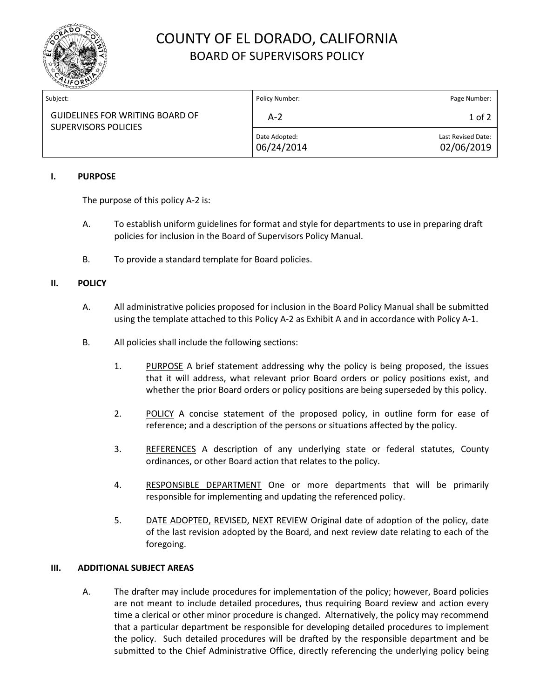

# COUNTY OF EL DORADO, CALIFORNIA BOARD OF SUPERVISORS POLICY

| Subject:                                                       | Policy Number:              | Page Number:                     |
|----------------------------------------------------------------|-----------------------------|----------------------------------|
| <b>GUIDELINES FOR WRITING BOARD OF</b><br>SUPERVISORS POLICIES | $A-2$                       | $1$ of $2$                       |
|                                                                | Date Adopted:<br>06/24/2014 | Last Revised Date:<br>02/06/2019 |

#### **I. PURPOSE**

The purpose of this policy A-2 is:

- A. To establish uniform guidelines for format and style for departments to use in preparing draft policies for inclusion in the Board of Supervisors Policy Manual.
- B. To provide a standard template for Board policies.

#### **II. POLICY**

- A. All administrative policies proposed for inclusion in the Board Policy Manual shall be submitted using the template attached to this Policy A-2 as Exhibit A and in accordance with Policy A-1.
- B. All policies shall include the following sections:
	- 1. PURPOSE A brief statement addressing why the policy is being proposed, the issues that it will address, what relevant prior Board orders or policy positions exist, and whether the prior Board orders or policy positions are being superseded by this policy.
	- 2. POLICY A concise statement of the proposed policy, in outline form for ease of reference; and a description of the persons or situations affected by the policy.
	- 3. REFERENCES A description of any underlying state or federal statutes, County ordinances, or other Board action that relates to the policy.
	- 4. RESPONSIBLE DEPARTMENT One or more departments that will be primarily responsible for implementing and updating the referenced policy.
	- 5. DATE ADOPTED, REVISED, NEXT REVIEW Original date of adoption of the policy, date of the last revision adopted by the Board, and next review date relating to each of the foregoing.

#### **III. ADDITIONAL SUBJECT AREAS**

A. The drafter may include procedures for implementation of the policy; however, Board policies are not meant to include detailed procedures, thus requiring Board review and action every time a clerical or other minor procedure is changed. Alternatively, the policy may recommend that a particular department be responsible for developing detailed procedures to implement the policy. Such detailed procedures will be drafted by the responsible department and be submitted to the Chief Administrative Office, directly referencing the underlying policy being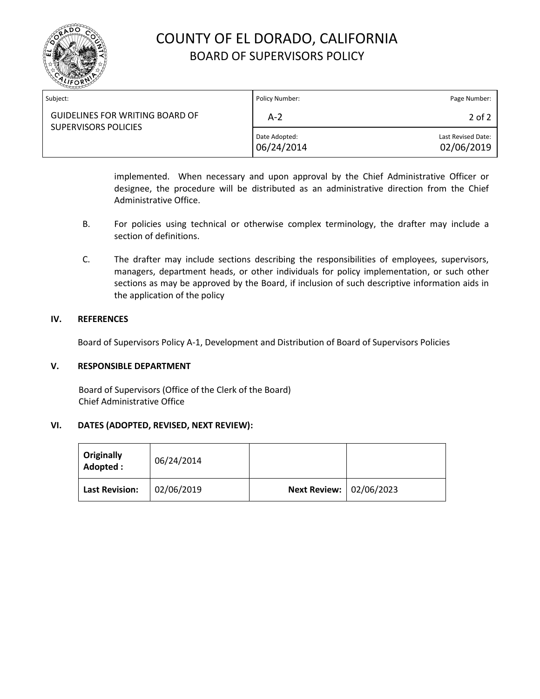

## COUNTY OF EL DORADO, CALIFORNIA BOARD OF SUPERVISORS POLICY

| Subject:                                                       | Policy Number:              | Page Number:                     |
|----------------------------------------------------------------|-----------------------------|----------------------------------|
| <b>GUIDELINES FOR WRITING BOARD OF</b><br>SUPERVISORS POLICIES | A-2                         | 2 of 2                           |
|                                                                | Date Adopted:<br>06/24/2014 | Last Revised Date:<br>02/06/2019 |

implemented. When necessary and upon approval by the Chief Administrative Officer or designee, the procedure will be distributed as an administrative direction from the Chief Administrative Office.

- B. For policies using technical or otherwise complex terminology, the drafter may include a section of definitions.
- C. The drafter may include sections describing the responsibilities of employees, supervisors, managers, department heads, or other individuals for policy implementation, or such other sections as may be approved by the Board, if inclusion of such descriptive information aids in the application of the policy

#### **IV. REFERENCES**

Board of Supervisors Policy A-1, Development and Distribution of Board of Supervisors Policies

#### **V. RESPONSIBLE DEPARTMENT**

Board of Supervisors (Office of the Clerk of the Board) Chief Administrative Office

#### **VI. DATES (ADOPTED, REVISED, NEXT REVIEW):**

| Originally<br>Adopted: | 06/24/2014 |                                |  |
|------------------------|------------|--------------------------------|--|
| <b>Last Revision:</b>  | 02/06/2019 | <b>Next Review: 02/06/2023</b> |  |